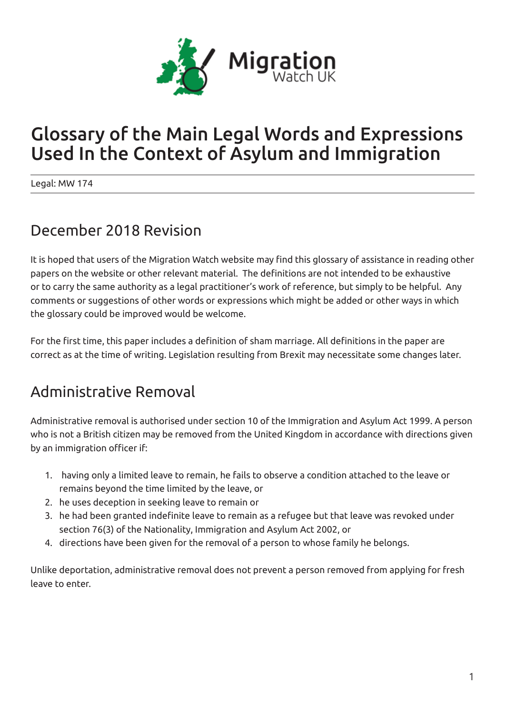

# Glossary of the Main Legal Words and Expressions Used In the Context of Asylum and Immigration

Legal: MW 174

### December 2018 Revision

It is hoped that users of the Migration Watch website may find this glossary of assistance in reading other papers on the website or other relevant material. The definitions are not intended to be exhaustive or to carry the same authority as a legal practitioner's work of reference, but simply to be helpful. Any comments or suggestions of other words or expressions which might be added or other ways in which the glossary could be improved would be welcome.

For the first time, this paper includes a definition of sham marriage. All definitions in the paper are correct as at the time of writing. Legislation resulting from Brexit may necessitate some changes later.

# Administrative Removal

Administrative removal is authorised under section 10 of the Immigration and Asylum Act 1999. A person who is not a British citizen may be removed from the United Kingdom in accordance with directions given by an immigration officer if:

- 1. having only a limited leave to remain, he fails to observe a condition attached to the leave or remains beyond the time limited by the leave, or
- 2. he uses deception in seeking leave to remain or
- 3. he had been granted indefinite leave to remain as a refugee but that leave was revoked under section 76(3) of the Nationality, Immigration and Asylum Act 2002, or
- 4. directions have been given for the removal of a person to whose family he belongs.

Unlike deportation, administrative removal does not prevent a person removed from applying for fresh leave to enter.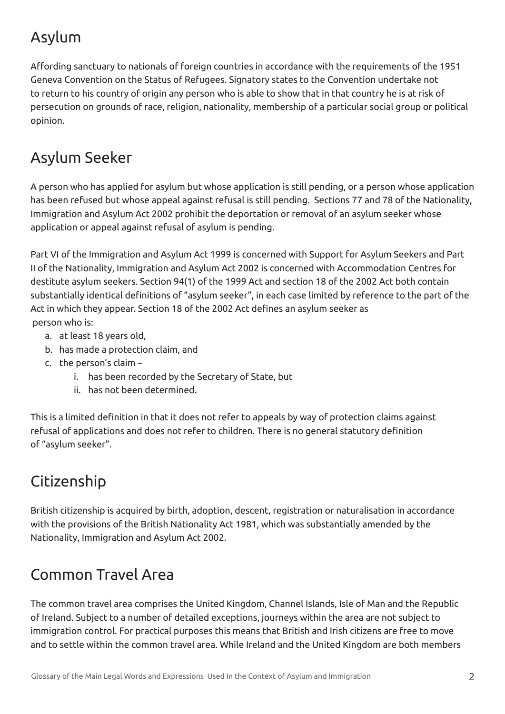# Asylum

Affording sanctuary to nationals of foreign countries in accordance with the requirements of the 1951 Geneva Convention on the Status of Refugees. Signatory states to the Convention undertake not to return to his country of origin any person who is able to show that in that country he is at risk of persecution on grounds of race, religion, nationality, membership of a particular social group or political opinion.

# Asylum Seeker

A person who has applied for asylum but whose application is still pending, or a person whose application has been refused but whose appeal against refusal is still pending. Sections 77 and 78 of the Nationality, Immigration and Asylum Act 2002 prohibit the deportation or removal of an asylum seeker whose application or appeal against refusal of asylum is pending.

Part VI of the Immigration and Asylum Act 1999 is concerned with Support for Asylum Seekers and Part II of the Nationality, Immigration and Asylum Act 2002 is concerned with Accommodation Centres for destitute asylum seekers. Section 94(1) of the 1999 Act and section 18 of the 2002 Act both contain substantially identical definitions of "asylum seeker", in each case limited by reference to the part of the Act in which they appear. Section 18 of the 2002 Act defines an asylum seeker as person who is:

- a. at least 18 years old,
- b. has made a protection claim, and
- c. the person's claim
	- i. has been recorded by the Secretary of State, but
	- ii. has not been determined.

This is a limited definition in that it does not refer to appeals by way of protection claims against refusal of applications and does not refer to children. There is no general statutory definition of "asylum seeker".

# **Citizenship**

British citizenship is acquired by birth, adoption, descent, registration or naturalisation in accordance with the provisions of the British Nationality Act 1981, which was substantially amended by the Nationality, Immigration and Asylum Act 2002.

# Common Travel Area

The common travel area comprises the United Kingdom, Channel Islands, Isle of Man and the Republic of Ireland. Subject to a number of detailed exceptions, journeys within the area are not subject to immigration control. For practical purposes this means that British and Irish citizens are free to move and to settle within the common travel area. While Ireland and the United Kingdom are both members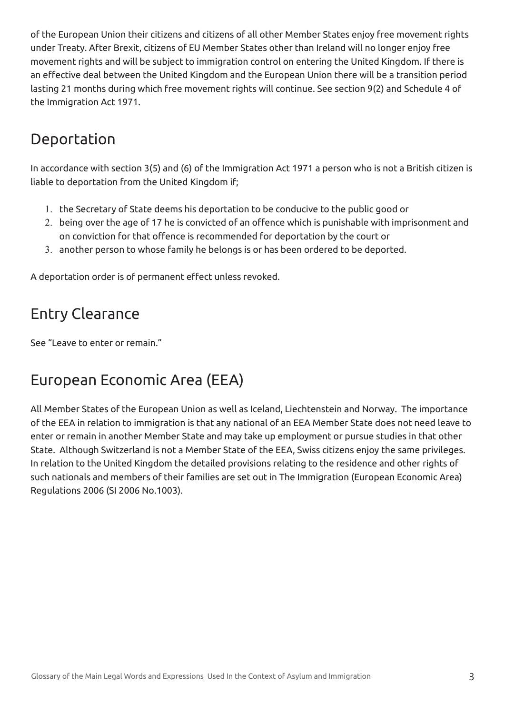of the European Union their citizens and citizens of all other Member States enjoy free movement rights under Treaty. After Brexit, citizens of EU Member States other than Ireland will no longer enjoy free movement rights and will be subject to immigration control on entering the United Kingdom. If there is an effective deal between the United Kingdom and the European Union there will be a transition period lasting 21 months during which free movement rights will continue. See section 9(2) and Schedule 4 of the Immigration Act 1971.

#### Deportation

In accordance with section 3(5) and (6) of the Immigration Act 1971 a person who is not a British citizen is liable to deportation from the United Kingdom if;

- 1. the Secretary of State deems his deportation to be conducive to the public good or
- 2. being over the age of 17 he is convicted of an offence which is punishable with imprisonment and on conviction for that offence is recommended for deportation by the court or
- 3. another person to whose family he belongs is or has been ordered to be deported.

A deportation order is of permanent effect unless revoked.

### Entry Clearance

See "Leave to enter or remain."

# European Economic Area (EEA)

All Member States of the European Union as well as Iceland, Liechtenstein and Norway. The importance of the EEA in relation to immigration is that any national of an EEA Member State does not need leave to enter or remain in another Member State and may take up employment or pursue studies in that other State. Although Switzerland is not a Member State of the EEA, Swiss citizens enjoy the same privileges. In relation to the United Kingdom the detailed provisions relating to the residence and other rights of such nationals and members of their families are set out in The Immigration (European Economic Area) Regulations 2006 (SI 2006 No.1003).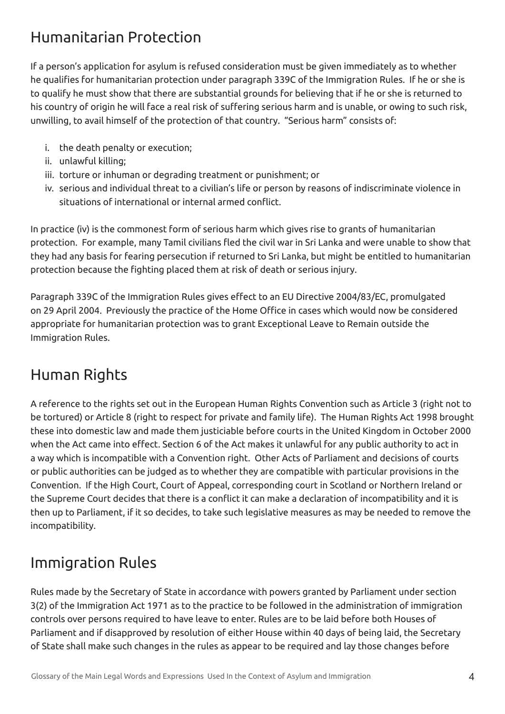# Humanitarian Protection

If a person's application for asylum is refused consideration must be given immediately as to whether he qualifies for humanitarian protection under paragraph 339C of the Immigration Rules. If he or she is to qualify he must show that there are substantial grounds for believing that if he or she is returned to his country of origin he will face a real risk of suffering serious harm and is unable, or owing to such risk, unwilling, to avail himself of the protection of that country. "Serious harm" consists of:

- i. the death penalty or execution;
- ii. unlawful killing;
- iii. torture or inhuman or degrading treatment or punishment; or
- iv. serious and individual threat to a civilian's life or person by reasons of indiscriminate violence in situations of international or internal armed conflict.

In practice (iv) is the commonest form of serious harm which gives rise to grants of humanitarian protection. For example, many Tamil civilians fled the civil war in Sri Lanka and were unable to show that they had any basis for fearing persecution if returned to Sri Lanka, but might be entitled to humanitarian protection because the fighting placed them at risk of death or serious injury.

Paragraph 339C of the Immigration Rules gives effect to an EU Directive 2004/83/EC, promulgated on 29 April 2004. Previously the practice of the Home Office in cases which would now be considered appropriate for humanitarian protection was to grant Exceptional Leave to Remain outside the Immigration Rules.

#### Human Rights

A reference to the rights set out in the European Human Rights Convention such as Article 3 (right not to be tortured) or Article 8 (right to respect for private and family life). The Human Rights Act 1998 brought these into domestic law and made them justiciable before courts in the United Kingdom in October 2000 when the Act came into effect. Section 6 of the Act makes it unlawful for any public authority to act in a way which is incompatible with a Convention right. Other Acts of Parliament and decisions of courts or public authorities can be judged as to whether they are compatible with particular provisions in the Convention. If the High Court, Court of Appeal, corresponding court in Scotland or Northern Ireland or the Supreme Court decides that there is a conflict it can make a declaration of incompatibility and it is then up to Parliament, if it so decides, to take such legislative measures as may be needed to remove the incompatibility.

# Immigration Rules

Rules made by the Secretary of State in accordance with powers granted by Parliament under section 3(2) of the Immigration Act 1971 as to the practice to be followed in the administration of immigration controls over persons required to have leave to enter. Rules are to be laid before both Houses of Parliament and if disapproved by resolution of either House within 40 days of being laid, the Secretary of State shall make such changes in the rules as appear to be required and lay those changes before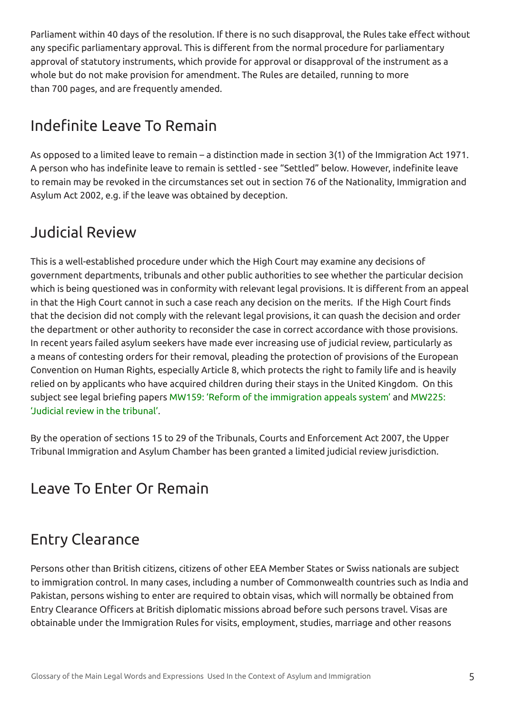Parliament within 40 days of the resolution. If there is no such disapproval, the Rules take effect without any specific parliamentary approval. This is different from the normal procedure for parliamentary approval of statutory instruments, which provide for approval or disapproval of the instrument as a whole but do not make provision for amendment. The Rules are detailed, running to more than 700 pages, and are frequently amended.

### Indefinite Leave To Remain

As opposed to a limited leave to remain – a distinction made in section 3(1) of the Immigration Act 1971. A person who has indefinite leave to remain is settled - see "Settled" below. However, indefinite leave to remain may be revoked in the circumstances set out in section 76 of the Nationality, Immigration and Asylum Act 2002, e.g. if the leave was obtained by deception.

### Judicial Review

This is a well-established procedure under which the High Court may examine any decisions of government departments, tribunals and other public authorities to see whether the particular decision which is being questioned was in conformity with relevant legal provisions. It is different from an appeal in that the High Court cannot in such a case reach any decision on the merits. If the High Court finds that the decision did not comply with the relevant legal provisions, it can quash the decision and order the department or other authority to reconsider the case in correct accordance with those provisions. In recent years failed asylum seekers have made ever increasing use of judicial review, particularly as a means of contesting orders for their removal, pleading the protection of provisions of the European Convention on Human Rights, especially Article 8, which protects the right to family life and is heavily relied on by applicants who have acquired children during their stays in the United Kingdom. On this subject see legal briefing papers MW159: 'Reform of the immigration appeals system' and MW225: 'Judicial review in the tribunal'.

By the operation of sections 15 to 29 of the Tribunals, Courts and Enforcement Act 2007, the Upper Tribunal Immigration and Asylum Chamber has been granted a limited judicial review jurisdiction.

#### Leave To Enter Or Remain

# Entry Clearance

Persons other than British citizens, citizens of other EEA Member States or Swiss nationals are subject to immigration control. In many cases, including a number of Commonwealth countries such as India and Pakistan, persons wishing to enter are required to obtain visas, which will normally be obtained from Entry Clearance Officers at British diplomatic missions abroad before such persons travel. Visas are obtainable under the Immigration Rules for visits, employment, studies, marriage and other reasons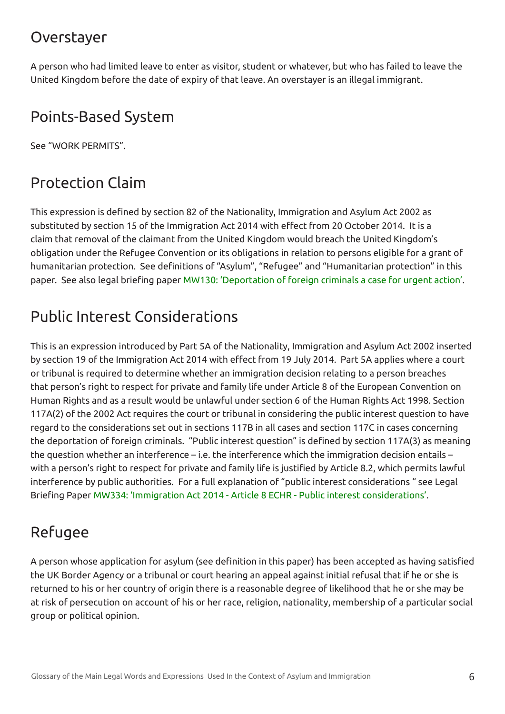#### Overstayer

A person who had limited leave to enter as visitor, student or whatever, but who has failed to leave the United Kingdom before the date of expiry of that leave. An overstayer is an illegal immigrant.

#### Points-Based System

See "WORK PERMITS".

# Protection Claim

This expression is defined by section 82 of the Nationality, Immigration and Asylum Act 2002 as substituted by section 15 of the Immigration Act 2014 with effect from 20 October 2014. It is a claim that removal of the claimant from the United Kingdom would breach the United Kingdom's obligation under the Refugee Convention or its obligations in relation to persons eligible for a grant of humanitarian protection. See definitions of "Asylum", "Refugee" and "Humanitarian protection" in this paper. See also legal briefing paper MW130: 'Deportation of foreign criminals a case for urgent action'.

# Public Interest Considerations

This is an expression introduced by Part 5A of the Nationality, Immigration and Asylum Act 2002 inserted by section 19 of the Immigration Act 2014 with effect from 19 July 2014. Part 5A applies where a court or tribunal is required to determine whether an immigration decision relating to a person breaches that person's right to respect for private and family life under Article 8 of the European Convention on Human Rights and as a result would be unlawful under section 6 of the Human Rights Act 1998. Section 117A(2) of the 2002 Act requires the court or tribunal in considering the public interest question to have regard to the considerations set out in sections 117B in all cases and section 117C in cases concerning the deportation of foreign criminals. "Public interest question" is defined by section 117A(3) as meaning the question whether an interference – i.e. the interference which the immigration decision entails – with a person's right to respect for private and family life is justified by Article 8.2, which permits lawful interference by public authorities. For a full explanation of "public interest considerations " see Legal Briefing Paper MW334: 'Immigration Act 2014 - Article 8 ECHR - Public interest considerations'.

# Refugee

A person whose application for asylum (see definition in this paper) has been accepted as having satisfied the UK Border Agency or a tribunal or court hearing an appeal against initial refusal that if he or she is returned to his or her country of origin there is a reasonable degree of likelihood that he or she may be at risk of persecution on account of his or her race, religion, nationality, membership of a particular social group or political opinion.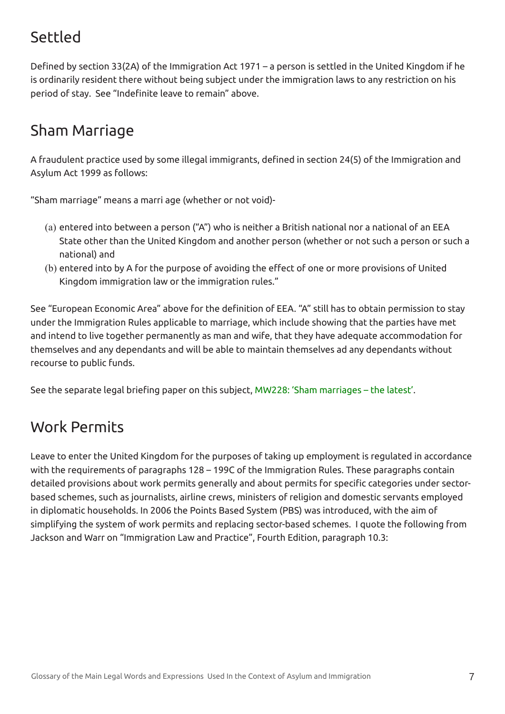# Settled

Defined by section 33(2A) of the Immigration Act 1971 – a person is settled in the United Kingdom if he is ordinarily resident there without being subject under the immigration laws to any restriction on his period of stay. See "Indefinite leave to remain" above.

# Sham Marriage

A fraudulent practice used by some illegal immigrants, defined in section 24(5) of the Immigration and Asylum Act 1999 as follows:

"Sham marriage" means a marri age (whether or not void)-

- (a) entered into between a person ("A") who is neither a British national nor a national of an EEA State other than the United Kingdom and another person (whether or not such a person or such a national) and
- (b) entered into by A for the purpose of avoiding the effect of one or more provisions of United Kingdom immigration law or the immigration rules."

See "European Economic Area" above for the definition of EEA. "A" still has to obtain permission to stay under the Immigration Rules applicable to marriage, which include showing that the parties have met and intend to live together permanently as man and wife, that they have adequate accommodation for themselves and any dependants and will be able to maintain themselves ad any dependants without recourse to public funds.

See the separate legal briefing paper on this subject, MW228: 'Sham marriages – the latest'.

#### Work Permits

Leave to enter the United Kingdom for the purposes of taking up employment is regulated in accordance with the requirements of paragraphs 128 – 199C of the Immigration Rules. These paragraphs contain detailed provisions about work permits generally and about permits for specific categories under sectorbased schemes, such as journalists, airline crews, ministers of religion and domestic servants employed in diplomatic households. In 2006 the Points Based System (PBS) was introduced, with the aim of simplifying the system of work permits and replacing sector-based schemes. I quote the following from Jackson and Warr on "Immigration Law and Practice", Fourth Edition, paragraph 10.3: